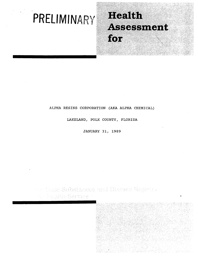# **PRELIMINARY**

# Health Assessment for

# ALPHA RESINS CORPORATION (AKA ALPHA CHEMICAL)

LAKELAND, POLK COUNTY, FLORIDA

JANUARY 31, 1989

ov Tuxic Gabanecs and Discase Registry N - Haalik Service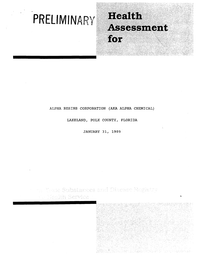# **PRELIMINARY**

# Health Assessment for.

'/.i

## ALPHA RESINS CORPORATION (AKA ALPHA CHEMICAL)

LAKELAND, POLK COUNTY, FLORIDA

JANUARY 31, 1989

ta Tozic Substances sayî Diaease Koşistry - Magish Gervice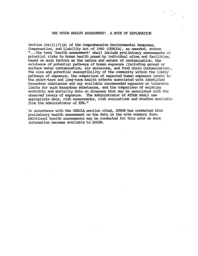#### THE ATSDR HEALTH ASSESSMENT: A NOTE OF EXPIANATION

Section  $104(i)$  (7) (A) of the Comprehensive Environmental Response, Compensation, and Liability Act of 1980 (CERCIA), as amended, states " ... the term 'health assessment' shall include preliminary assessments of potential risks to htnnan health posed by individual sites and facilities, based on such factors as the nature and extent of contamination, the existence of potential pathways of hmnan exposure (including ground or surface water contamination, air emissions, and food chain contamination), the size and potential susceptibility of the community within the likely pathways of exposure, the comparison of expected htnnan exposure levels to the short-term and long-tenn health effects associated with identified hazardous substances and any available reconunended exposure or tolerance limits for such hazardous substances, and the comparison of existing morbidity and mortality data on diseases that may be associated with the obse:rved levels of exposure. '!he Administrator of ATSDR shall use appropriate data, risk assessments, risk evaluations and studies available from the Administrator of EPA."

In accordance with the CERCIA section cited, ATSDR has conducted this preliminary health assessment on the data in the site summary form. Additional health assessments may be conducted for this site as more information becomes available to ATSDR.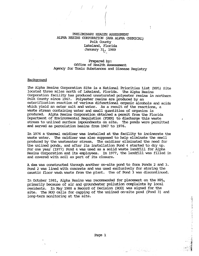### PREI.IMINARY HEALTH ASSESSMENT ALFHA RESlNS CORroRATION (AKA ALFHA OlEMICAL) Polk County Iakeland, Florida January 31, 1989

t

 $\sqrt{2}$ 

#### Prepared by: Office of Health Assessment Agency for Toxic Substances and Disease Registry

#### **Background**

The Alpha Resins Corporation Site is a National Priorities List (NPL) Site located three miles north of Iakeland, Florida. The Alpha Resins Corporation facility has produced unsaturated polyester resins in northern Polk County since 1967. Polyester resins are produced by an esterification reaction of various difunctional organic alcohols and acids which yield an ester salt and water. As a result of the reactions, a waste stream containing water and small quantities of organics is produced. Alpha Resins Corporation obtained a permit from the Florida Department of Envirormental Regulation (FDER) to discharge this waste stream to unlined surface impoundments on site. The ponds were permitted and served as percolation basins from 1967 to 1976.

In 1976 a thennal oxidizer was installed at the facility to incinerate the waste water. The oxidizer was also supposed to help eliminate the smell produced by the wastewater stream. The oxidizer eliminated the need for the unlined ponds, and after its installation Pond 4 started to dry up. For one year (1977) Pond 4 was used as a solid waste landfill for Alpha Resins Corporation and its employees. In 1977, the landfill was filled in and covered with soil as part of its closure.

A dam was constructed through another on-site pond to form Ponds 2 and 3. Pond 2 was lined with concrete and was used exclusively for storing the caustic floor wash waste from the plant. Use of Pond 3 was discontinued.

In October 1981, Alpha Resins was recommended for placement on the NPL, primarily because of air and groundwater pollution complaints by local residents. In May 1988 a Record of Decision (ROD) was signed for the site. '!he ROD calls for capping of the unlined on-site pond (Pond 3) and long-tenn monitoring at the site.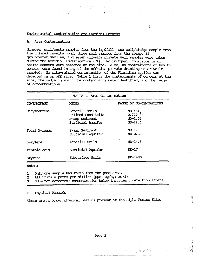## Envirormental Contamination and Physical Hazards

#### A. Area Contamination

Nineteen soil/waste samples from the lapdfill, one soil/sludge sample from the unlined on-site pond, three soil samples from the swamp, 18 groundwater samples, and seven off-site private well samples were taken during the Remedial Investigation (RI). No inorganic constituents of health concern were detected at the site. Also, no contaminants of health concern were found in any of the off-site private drinking water wells. sampled. No site-related contamination of the Floridian aquifer was detected on or off site. Table 1 lists the contaminants of concern at the site, the media in which the contaminants were identified, and the range of concentrations.

Ţ

 $/$  /  $/$  /

| TABLE 1. Area Contamination |                                                                             |                                                          |
|-----------------------------|-----------------------------------------------------------------------------|----------------------------------------------------------|
| CONTAMINANT                 | MEDIA                                                                       | RANGE OF CONCENTRATIONS                                  |
| Ethylbenzene                | Landfill Soils<br>Unlined Pond Soils<br>Swamp Sediment<br>Surficial Aquifer | ND-461<br>$0.729$ <sup>1</sup><br>$ND-1.04$<br>$ND-22.6$ |
| Total Xylenes               | Swamp Sediment<br>Surficial Aquifer                                         | $ND-1.96$<br>ND-0.692                                    |
| o-Xylene                    | Landfill Soils                                                              | $ND-14.5$                                                |
| Benzoic Acid                | Surficial Aquifer                                                           | ND-17                                                    |
| Styrene                     | Subsurface Soils                                                            | ND-1480                                                  |

Notes:

1. Only one sample was taken from the pond area.

2. All units = parts per million (ppm; mg/kg; mg/l)

 $3.$  ND = not detected; concentration below instrument detection limits.

B. Fhysical Hazards

There are no known physical hazards present at the Alpha Resins Site.

a martinde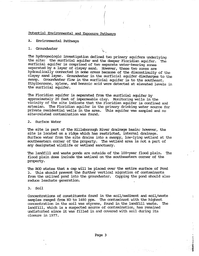#### FDtential Envirornnental and Exposure Pathways

#### A: Environmental Pathways

#### 1. Groundwater

The hydrogeologic investigation defined two primary aquifers underlying the site: the surficial aquifer and the deeper Floridian aquifer. 'Ihe surficial aquifer is conprised of two separate water-bearing zones separated by a layer of clayey sand. However, these two zones are hydraulically connected in some areas because of the discontinuity of the clayey sand layer. Groundwater in the surficial aquifer discharges to the swamp. Groundwater flow in the surficial aquifer is to the southeast. Ethylbenzene, xylene, and benzoic acid were detected at elevated levels in the surficial aquifer.

"\..-

/

'!he Floridian aquifer is separated fram the surficial aquifer by approximately 20 feet of impenneable clay. Monitoring wells in the vicinity of the site indicate that the Floridian aquifer is confined and artesian. '!he Floridian aquifer is the primary drinking water source for private residential wells in the area. '!his aquifer was sampled and no site-related contamination was found.

2. SUrface water

'!he site is part of the Hillsborough River drainage basin; however, the site is located on a ridge which has restricted, internal drainage. SUrface water fram the site drains into a swampy, low-lying wetland at the southeastern corner of the property. The wetland area is not a part of any designated wildlife or wetland sanctuary.

The landfill and waste ponds are outside of the 100-year flood plain. The flood plain does include the wetland on the southeastern corner of the property.

The ROD states that a cap will be placed over the entire surface of Pond 3. '!his should prevent the further vertical migration of contaminants from the unlined pond into the groundwater. Capping the pond should also reduce leachate generation.

#### 3. Soil

Concentrations of constituents found in the soil/sediment and soil/waste samples ranged from ND to 1480 ppm. The contaminant with the highest concentration in the soil was styrene, found in the landfill waste. The landfill, which is a suspected source of contamination, has remained undisturbed since it was filled in and covered with soil during its closure in 1977.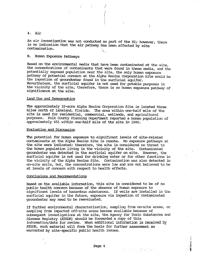#### 4. Air

An air investigation was not conducted as part of the RI; however, there is no indication that the air pathway has been affected by site ' contamination.  $\mathsf{L}\cdot$ 

÷

 $\ell \in \mathscr{N} \subset \mathscr{N}$ 

#### B. Human Exposure Pathways

Based on the environmental media that have been contaminated at the site, the concentrations of contaminants that were found in these media, and the potentially exposed population near the site, the only human exposure pathway of potential concern at the Alpha Resins Corporation site would be the ingestion of groundwater found in the surficial aquifer. Nevertheless, the surficial aquifer is not used for potable purposes in the vicinity of the site, therefore, there is no human exposure pathway of significance at the site.

## land Use and Demographics

The approximately 32-acre Alpha Resins Corporation Site is located three miles north of Lakeland, Florida. '!he area within one-half mile of the site is used for residential, commercial, wetlands, and agricultural purposes. Polk County Planning Department reported a human population of approximately 651 within one-half mile of the site in 1980.

#### Evaluation and Discussion

'!he potential for htnnan exposure to significant levels of site-related contaminants at the Alpha Resins site is remote. No exposure pathways at the site were indicated; therefore, the site is considered no threat to the human population living in the vicinity of the site. Contaminated groundwater was detected in the surficial aquifer on site. However, the surficial aquifer is not used for drinking water or for other functions in the vicinity of the Alpha Resins site. Contamination was also detected in on-site soils, but, the concentrations were low and are not believed to be at levels of concern with respect to health effects.

#### Conclusions and Recommendations

Based on the available infonnation, this site is considered to be of no public health concern because of the absence of human exposure to significant levels of hazardous substances. If wells are installed in the surficial aquifer in the future, exposure via ingestion of contaminated groundwater may need to be reevaluated.

If further envirornnental characterization, sampling from on-site areas, or sampling from inpacted off-site areas become available because of subsequent investigations at the site, the Agency for Toxic SUbstances and Disease Registry (ATSDR) should be forwarded a copy of this infonnationjdata for review. When additional infonnation is received by ATSDR, such material will fonn the basis for further assessment as warranted by site-specific public health issues.